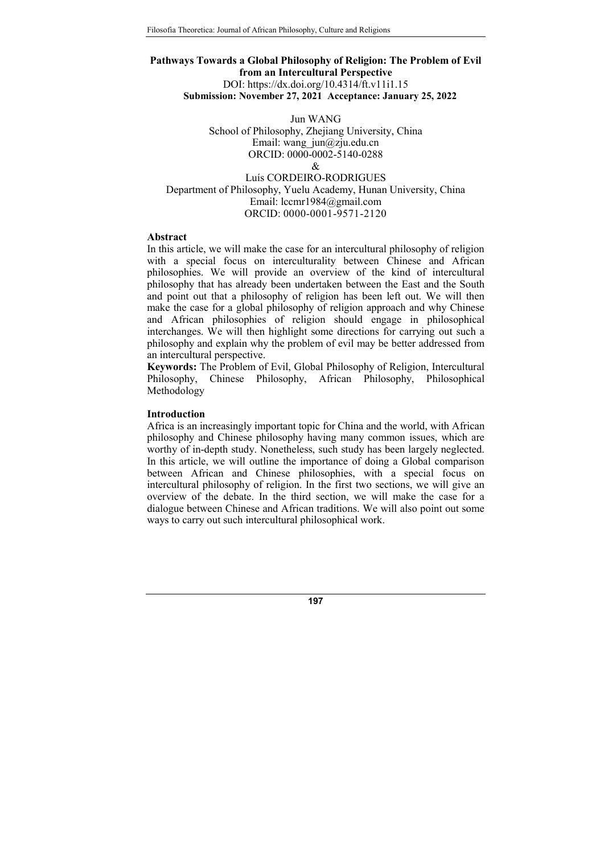# Pathways Towards a Global Philosophy of Religion: The Problem of Evil from an Intercultural Perspective DOI: https://dx.doi.org/10.4314/ft.v11i1.15 Submission: November 27, 2021 Acceptance: January 25, 2022

Jun WANG School of Philosophy, Zhejiang University, China Email: wang  $j$ un $@z$ ju.edu.cn ORCID: 0000-0002-5140-0288  $\mathcal{R}$ Luís CORDEIRO-RODRIGUES Department of Philosophy, Yuelu Academy, Hunan University, China Email: lccmr1984@gmail.com

ORCID: 0000-0001-9571-2120

## Abstract

In this article, we will make the case for an intercultural philosophy of religion with a special focus on interculturality between Chinese and African philosophies. We will provide an overview of the kind of intercultural philosophy that has already been undertaken between the East and the South and point out that a philosophy of religion has been left out. We will then make the case for a global philosophy of religion approach and why Chinese and African philosophies of religion should engage in philosophical interchanges. We will then highlight some directions for carrying out such a philosophy and explain why the problem of evil may be better addressed from an intercultural perspective.

Keywords: The Problem of Evil, Global Philosophy of Religion, Intercultural Philosophy, Chinese Philosophy, African Philosophy, Philosophical Methodology

## Introduction

Africa is an increasingly important topic for China and the world, with African philosophy and Chinese philosophy having many common issues, which are worthy of in-depth study. Nonetheless, such study has been largely neglected. In this article, we will outline the importance of doing a Global comparison between African and Chinese philosophies, with a special focus on intercultural philosophy of religion. In the first two sections, we will give an overview of the debate. In the third section, we will make the case for a dialogue between Chinese and African traditions. We will also point out some ways to carry out such intercultural philosophical work.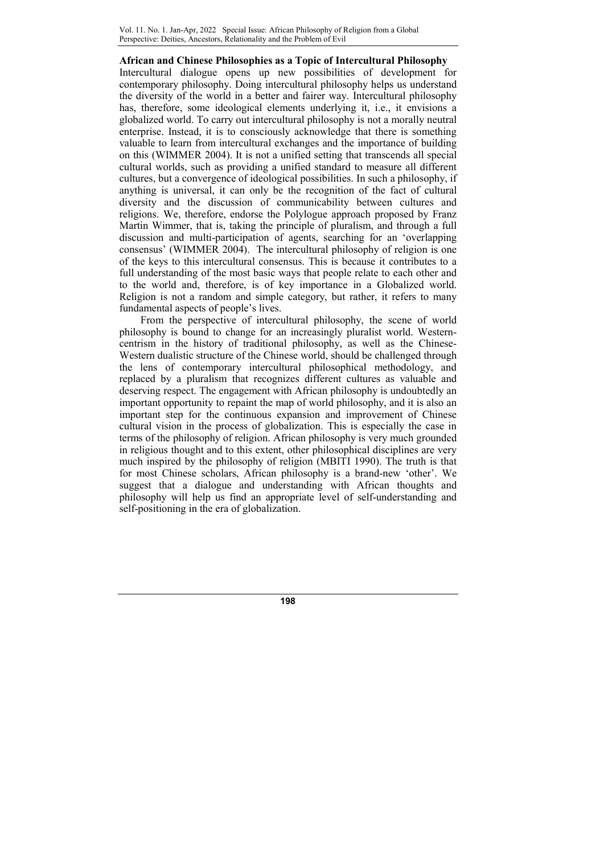# African and Chinese Philosophies as a Topic of Intercultural Philosophy

Intercultural dialogue opens up new possibilities of development for contemporary philosophy. Doing intercultural philosophy helps us understand the diversity of the world in a better and fairer way. Intercultural philosophy has, therefore, some ideological elements underlying it, i.e., it envisions a globalized world. To carry out intercultural philosophy is not a morally neutral enterprise. Instead, it is to consciously acknowledge that there is something valuable to learn from intercultural exchanges and the importance of building on this (WIMMER 2004). It is not a unified setting that transcends all special cultural worlds, such as providing a unified standard to measure all different cultures, but a convergence of ideological possibilities. In such a philosophy, if anything is universal, it can only be the recognition of the fact of cultural diversity and the discussion of communicability between cultures and religions. We, therefore, endorse the Polylogue approach proposed by Franz Martin Wimmer, that is, taking the principle of pluralism, and through a full discussion and multi-participation of agents, searching for an 'overlapping consensus' (WIMMER 2004). The intercultural philosophy of religion is one of the keys to this intercultural consensus. This is because it contributes to a full understanding of the most basic ways that people relate to each other and to the world and, therefore, is of key importance in a Globalized world. Religion is not a random and simple category, but rather, it refers to many fundamental aspects of people's lives.

From the perspective of intercultural philosophy, the scene of world philosophy is bound to change for an increasingly pluralist world. Westerncentrism in the history of traditional philosophy, as well as the Chinese-Western dualistic structure of the Chinese world, should be challenged through the lens of contemporary intercultural philosophical methodology, and replaced by a pluralism that recognizes different cultures as valuable and deserving respect. The engagement with African philosophy is undoubtedly an important opportunity to repaint the map of world philosophy, and it is also an important step for the continuous expansion and improvement of Chinese cultural vision in the process of globalization. This is especially the case in terms of the philosophy of religion. African philosophy is very much grounded in religious thought and to this extent, other philosophical disciplines are very much inspired by the philosophy of religion (MBITI 1990). The truth is that for most Chinese scholars, African philosophy is a brand-new 'other'. We suggest that a dialogue and understanding with African thoughts and philosophy will help us find an appropriate level of self-understanding and self-positioning in the era of globalization.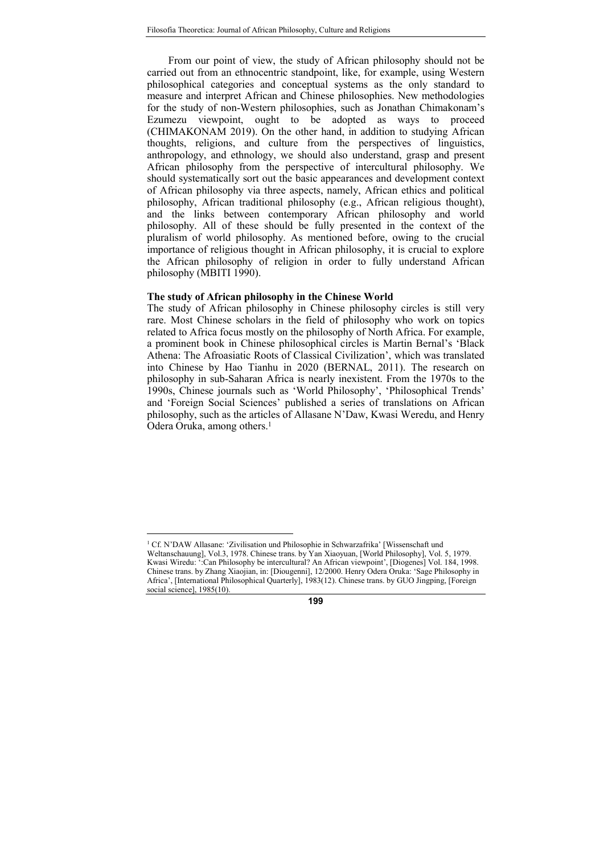From our point of view, the study of African philosophy should not be carried out from an ethnocentric standpoint, like, for example, using Western philosophical categories and conceptual systems as the only standard to measure and interpret African and Chinese philosophies. New methodologies for the study of non-Western philosophies, such as Jonathan Chimakonam's Ezumezu viewpoint, ought to be adopted as ways to proceed (CHIMAKONAM 2019). On the other hand, in addition to studying African thoughts, religions, and culture from the perspectives of linguistics, anthropology, and ethnology, we should also understand, grasp and present African philosophy from the perspective of intercultural philosophy. We should systematically sort out the basic appearances and development context of African philosophy via three aspects, namely, African ethics and political philosophy, African traditional philosophy (e.g., African religious thought), and the links between contemporary African philosophy and world philosophy. All of these should be fully presented in the context of the pluralism of world philosophy. As mentioned before, owing to the crucial importance of religious thought in African philosophy, it is crucial to explore the African philosophy of religion in order to fully understand African philosophy (MBITI 1990).

## The study of African philosophy in the Chinese World

 $\overline{a}$ 

The study of African philosophy in Chinese philosophy circles is still very rare. Most Chinese scholars in the field of philosophy who work on topics related to Africa focus mostly on the philosophy of North Africa. For example, a prominent book in Chinese philosophical circles is Martin Bernal's 'Black Athena: The Afroasiatic Roots of Classical Civilization', which was translated into Chinese by Hao Tianhu in 2020 (BERNAL, 2011). The research on philosophy in sub-Saharan Africa is nearly inexistent. From the 1970s to the 1990s, Chinese journals such as 'World Philosophy', 'Philosophical Trends' and 'Foreign Social Sciences' published a series of translations on African philosophy, such as the articles of Allasane N'Daw, Kwasi Weredu, and Henry Odera Oruka, among others.<sup>1</sup>

<sup>&</sup>lt;sup>1</sup> Cf. N'DAW Allasane: 'Zivilisation und Philosophie in Schwarzafrika' [Wissenschaft und Weltanschauung], Vol.3, 1978. Chinese trans. by Yan Xiaoyuan, [World Philosophy], Vol. 5, 1979. Kwasi Wiredu: ':Can Philosophy be intercultural? An African viewpoint', [Diogenes] Vol. 184, 1998. Chinese trans. by Zhang Xiaojian, in: [Diougenni], 12/2000. Henry Odera Oruka: 'Sage Philosophy in Africa', [International Philosophical Quarterly], 1983(12). Chinese trans. by GUO Jingping, [Foreign social science], 1985(10).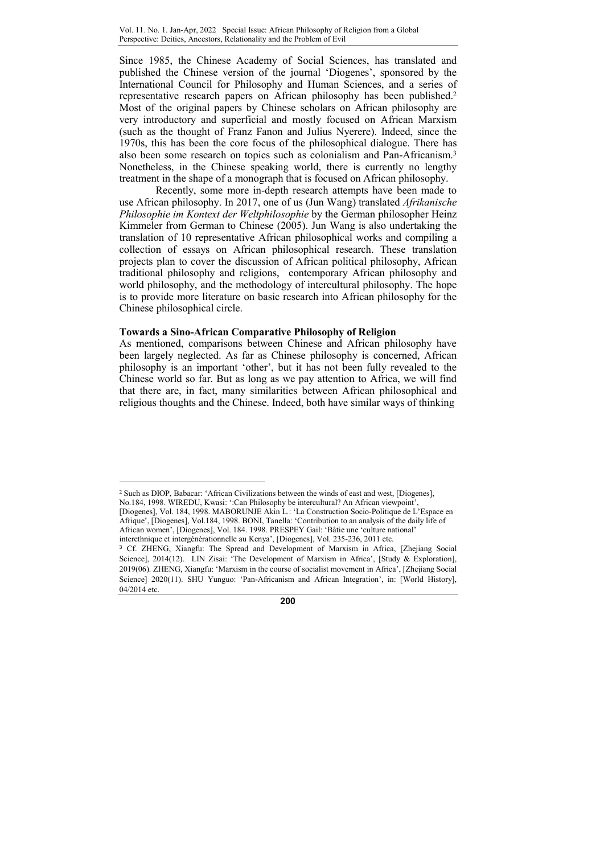Since 1985, the Chinese Academy of Social Sciences, has translated and published the Chinese version of the journal 'Diogenes', sponsored by the International Council for Philosophy and Human Sciences, and a series of representative research papers on African philosophy has been published.<sup>2</sup> Most of the original papers by Chinese scholars on African philosophy are very introductory and superficial and mostly focused on African Marxism (such as the thought of Franz Fanon and Julius Nyerere). Indeed, since the 1970s, this has been the core focus of the philosophical dialogue. There has also been some research on topics such as colonialism and Pan-Africanism.<sup>3</sup> Nonetheless, in the Chinese speaking world, there is currently no lengthy treatment in the shape of a monograph that is focused on African philosophy.

Recently, some more in-depth research attempts have been made to use African philosophy. In 2017, one of us (Jun Wang) translated Afrikanische Philosophie im Kontext der Weltphilosophie by the German philosopher Heinz Kimmeler from German to Chinese (2005). Jun Wang is also undertaking the translation of 10 representative African philosophical works and compiling a collection of essays on African philosophical research. These translation projects plan to cover the discussion of African political philosophy, African traditional philosophy and religions, contemporary African philosophy and world philosophy, and the methodology of intercultural philosophy. The hope is to provide more literature on basic research into African philosophy for the Chinese philosophical circle.

#### Towards a Sino-African Comparative Philosophy of Religion

 $\overline{a}$ 

As mentioned, comparisons between Chinese and African philosophy have been largely neglected. As far as Chinese philosophy is concerned, African philosophy is an important 'other', but it has not been fully revealed to the Chinese world so far. But as long as we pay attention to Africa, we will find that there are, in fact, many similarities between African philosophical and religious thoughts and the Chinese. Indeed, both have similar ways of thinking

2 Such as DIOP, Babacar: 'African Civilizations between the winds of east and west, [Diogenes], No.184, 1998. WIREDU, Kwasi: ':Can Philosophy be intercultural? An African viewpoint', [Diogenes], Vol. 184, 1998. MABORUNJE Akin L.: 'La Construction Socio-Politique de L'Espace en Afrique', [Diogenes], Vol.184, 1998. BONI, Tanella: 'Contribution to an analysis of the daily life of African women', [Diogenes], Vol. 184. 1998. PRESPEY Gail: 'Bâtie une 'culture national' interethnique et intergénérationnelle au Kenya', [Diogenes], Vol. 235-236, 2011 etc.

<sup>3</sup> Cf. ZHENG, Xiangfu: The Spread and Development of Marxism in Africa, [Zhejiang Social Science], 2014(12). LIN Zisai: 'The Development of Marxism in Africa', [Study & Exploration], 2019(06). ZHENG, Xiangfu: 'Marxism in the course of socialist movement in Africa', [Zhejiang Social Science] 2020(11). SHU Yunguo: 'Pan-Africanism and African Integration', in: [World History], 04/2014 etc.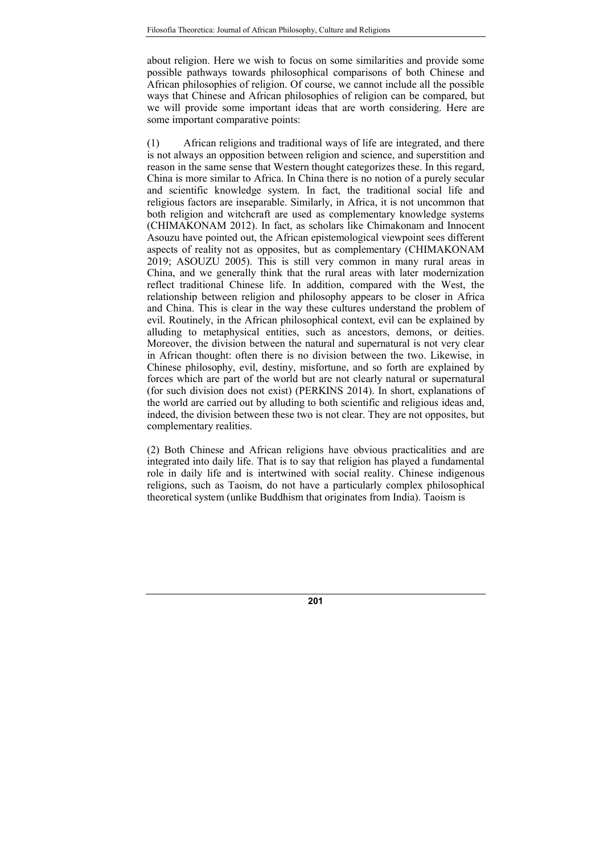about religion. Here we wish to focus on some similarities and provide some possible pathways towards philosophical comparisons of both Chinese and African philosophies of religion. Of course, we cannot include all the possible ways that Chinese and African philosophies of religion can be compared, but we will provide some important ideas that are worth considering. Here are some important comparative points:

(1) African religions and traditional ways of life are integrated, and there is not always an opposition between religion and science, and superstition and reason in the same sense that Western thought categorizes these. In this regard, China is more similar to Africa. In China there is no notion of a purely secular and scientific knowledge system. In fact, the traditional social life and religious factors are inseparable. Similarly, in Africa, it is not uncommon that both religion and witchcraft are used as complementary knowledge systems (CHIMAKONAM 2012). In fact, as scholars like Chimakonam and Innocent Asouzu have pointed out, the African epistemological viewpoint sees different aspects of reality not as opposites, but as complementary (CHIMAKONAM 2019; ASOUZU 2005). This is still very common in many rural areas in China, and we generally think that the rural areas with later modernization reflect traditional Chinese life. In addition, compared with the West, the relationship between religion and philosophy appears to be closer in Africa and China. This is clear in the way these cultures understand the problem of evil. Routinely, in the African philosophical context, evil can be explained by alluding to metaphysical entities, such as ancestors, demons, or deities. Moreover, the division between the natural and supernatural is not very clear in African thought: often there is no division between the two. Likewise, in Chinese philosophy, evil, destiny, misfortune, and so forth are explained by forces which are part of the world but are not clearly natural or supernatural (for such division does not exist) (PERKINS 2014). In short, explanations of the world are carried out by alluding to both scientific and religious ideas and, indeed, the division between these two is not clear. They are not opposites, but complementary realities.

(2) Both Chinese and African religions have obvious practicalities and are integrated into daily life. That is to say that religion has played a fundamental role in daily life and is intertwined with social reality. Chinese indigenous religions, such as Taoism, do not have a particularly complex philosophical theoretical system (unlike Buddhism that originates from India). Taoism is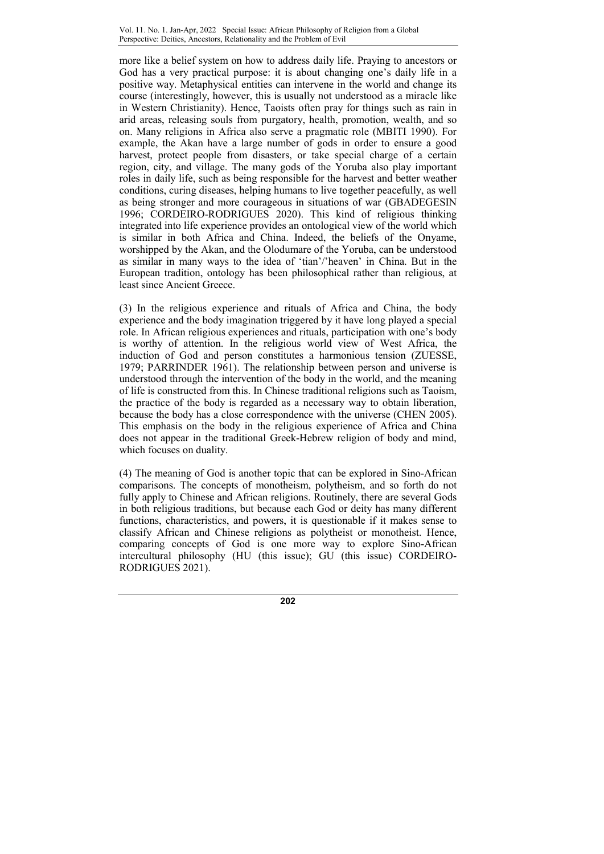more like a belief system on how to address daily life. Praying to ancestors or God has a very practical purpose: it is about changing one's daily life in a positive way. Metaphysical entities can intervene in the world and change its course (interestingly, however, this is usually not understood as a miracle like in Western Christianity). Hence, Taoists often pray for things such as rain in arid areas, releasing souls from purgatory, health, promotion, wealth, and so on. Many religions in Africa also serve a pragmatic role (MBITI 1990). For example, the Akan have a large number of gods in order to ensure a good harvest, protect people from disasters, or take special charge of a certain region, city, and village. The many gods of the Yoruba also play important roles in daily life, such as being responsible for the harvest and better weather conditions, curing diseases, helping humans to live together peacefully, as well as being stronger and more courageous in situations of war (GBADEGESIN 1996; CORDEIRO-RODRIGUES 2020). This kind of religious thinking integrated into life experience provides an ontological view of the world which is similar in both Africa and China. Indeed, the beliefs of the Onyame, worshipped by the Akan, and the Olodumare of the Yoruba, can be understood as similar in many ways to the idea of 'tian'/'heaven' in China. But in the European tradition, ontology has been philosophical rather than religious, at least since Ancient Greece.

(3) In the religious experience and rituals of Africa and China, the body experience and the body imagination triggered by it have long played a special role. In African religious experiences and rituals, participation with one's body is worthy of attention. In the religious world view of West Africa, the induction of God and person constitutes a harmonious tension (ZUESSE, 1979; PARRINDER 1961). The relationship between person and universe is understood through the intervention of the body in the world, and the meaning of life is constructed from this. In Chinese traditional religions such as Taoism, the practice of the body is regarded as a necessary way to obtain liberation, because the body has a close correspondence with the universe (CHEN 2005). This emphasis on the body in the religious experience of Africa and China does not appear in the traditional Greek-Hebrew religion of body and mind, which focuses on duality.

(4) The meaning of God is another topic that can be explored in Sino-African comparisons. The concepts of monotheism, polytheism, and so forth do not fully apply to Chinese and African religions. Routinely, there are several Gods in both religious traditions, but because each God or deity has many different functions, characteristics, and powers, it is questionable if it makes sense to classify African and Chinese religions as polytheist or monotheist. Hence, comparing concepts of God is one more way to explore Sino-African intercultural philosophy (HU (this issue); GU (this issue) CORDEIRO-RODRIGUES 2021).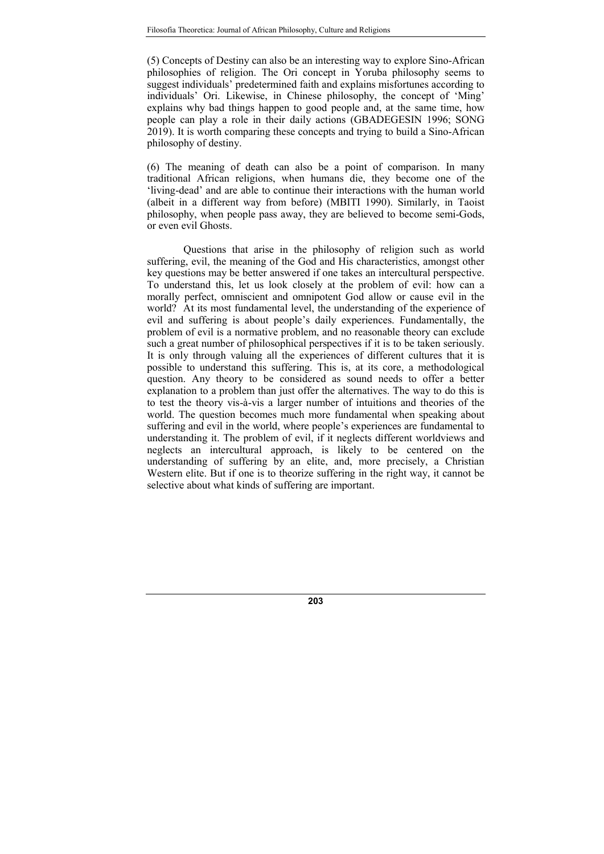(5) Concepts of Destiny can also be an interesting way to explore Sino-African philosophies of religion. The Ori concept in Yoruba philosophy seems to suggest individuals' predetermined faith and explains misfortunes according to individuals' Ori. Likewise, in Chinese philosophy, the concept of 'Ming' explains why bad things happen to good people and, at the same time, how people can play a role in their daily actions (GBADEGESIN 1996; SONG 2019). It is worth comparing these concepts and trying to build a Sino-African philosophy of destiny.

(6) The meaning of death can also be a point of comparison. In many traditional African religions, when humans die, they become one of the 'living-dead' and are able to continue their interactions with the human world (albeit in a different way from before) (MBITI 1990). Similarly, in Taoist philosophy, when people pass away, they are believed to become semi-Gods, or even evil Ghosts.

Questions that arise in the philosophy of religion such as world suffering, evil, the meaning of the God and His characteristics, amongst other key questions may be better answered if one takes an intercultural perspective. To understand this, let us look closely at the problem of evil: how can a morally perfect, omniscient and omnipotent God allow or cause evil in the world? At its most fundamental level, the understanding of the experience of evil and suffering is about people's daily experiences. Fundamentally, the problem of evil is a normative problem, and no reasonable theory can exclude such a great number of philosophical perspectives if it is to be taken seriously. It is only through valuing all the experiences of different cultures that it is possible to understand this suffering. This is, at its core, a methodological question. Any theory to be considered as sound needs to offer a better explanation to a problem than just offer the alternatives. The way to do this is to test the theory vis-à-vis a larger number of intuitions and theories of the world. The question becomes much more fundamental when speaking about suffering and evil in the world, where people's experiences are fundamental to understanding it. The problem of evil, if it neglects different worldviews and neglects an intercultural approach, is likely to be centered on the understanding of suffering by an elite, and, more precisely, a Christian Western elite. But if one is to theorize suffering in the right way, it cannot be selective about what kinds of suffering are important.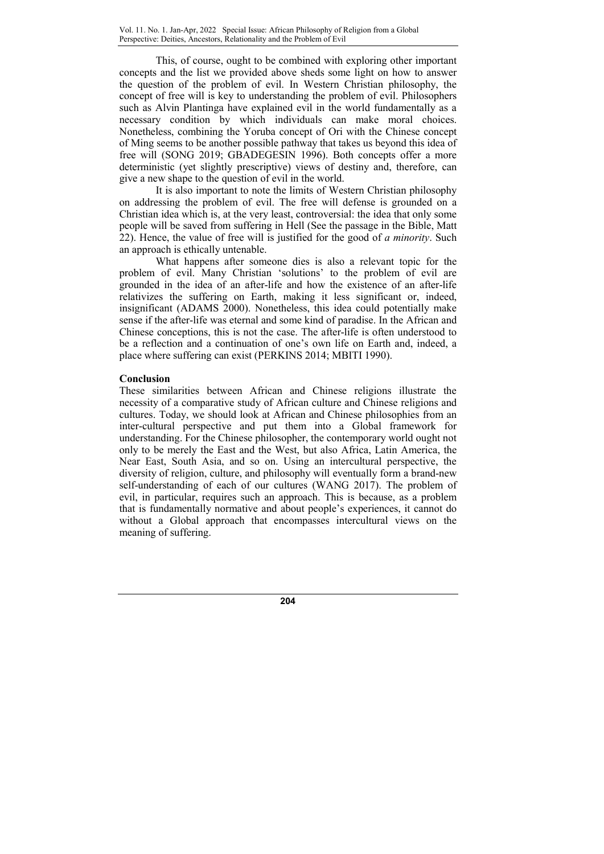This, of course, ought to be combined with exploring other important concepts and the list we provided above sheds some light on how to answer the question of the problem of evil. In Western Christian philosophy, the concept of free will is key to understanding the problem of evil. Philosophers such as Alvin Plantinga have explained evil in the world fundamentally as a necessary condition by which individuals can make moral choices. Nonetheless, combining the Yoruba concept of Ori with the Chinese concept of Ming seems to be another possible pathway that takes us beyond this idea of free will (SONG 2019; GBADEGESIN 1996). Both concepts offer a more deterministic (yet slightly prescriptive) views of destiny and, therefore, can give a new shape to the question of evil in the world.

It is also important to note the limits of Western Christian philosophy on addressing the problem of evil. The free will defense is grounded on a Christian idea which is, at the very least, controversial: the idea that only some people will be saved from suffering in Hell (See the passage in the Bible, Matt 22). Hence, the value of free will is justified for the good of  $a$  minority. Such an approach is ethically untenable.

What happens after someone dies is also a relevant topic for the problem of evil. Many Christian 'solutions' to the problem of evil are grounded in the idea of an after-life and how the existence of an after-life relativizes the suffering on Earth, making it less significant or, indeed, insignificant (ADAMS 2000). Nonetheless, this idea could potentially make sense if the after-life was eternal and some kind of paradise. In the African and Chinese conceptions, this is not the case. The after-life is often understood to be a reflection and a continuation of one's own life on Earth and, indeed, a place where suffering can exist (PERKINS 2014; MBITI 1990).

# Conclusion

These similarities between African and Chinese religions illustrate the necessity of a comparative study of African culture and Chinese religions and cultures. Today, we should look at African and Chinese philosophies from an inter-cultural perspective and put them into a Global framework for understanding. For the Chinese philosopher, the contemporary world ought not only to be merely the East and the West, but also Africa, Latin America, the Near East, South Asia, and so on. Using an intercultural perspective, the diversity of religion, culture, and philosophy will eventually form a brand-new self-understanding of each of our cultures (WANG 2017). The problem of evil, in particular, requires such an approach. This is because, as a problem that is fundamentally normative and about people's experiences, it cannot do without a Global approach that encompasses intercultural views on the meaning of suffering.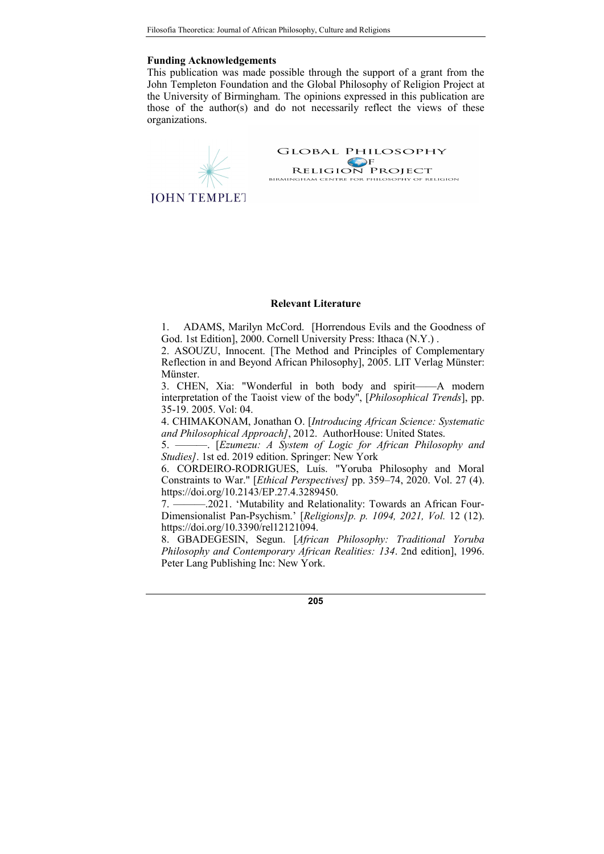### Funding Acknowledgements

This publication was made possible through the support of a grant from the John Templeton Foundation and the Global Philosophy of Religion Project at the University of Birmingham. The opinions expressed in this publication are those of the author(s) and do not necessarily reflect the views of these organizations.

**GLOBAL PHILOSOPHY EXECUTE SERVE SERVE SERVE RELIGION PROJECT**<br>BIRMINGHAM CENTRE FOR PHILOSOPHY OF RELIGION **JOHN TEMPLET** 

#### Relevant Literature

1. ADAMS, Marilyn McCord. [Horrendous Evils and the Goodness of God. 1st Edition], 2000. Cornell University Press: Ithaca (N.Y.) .

2. ASOUZU, Innocent. [The Method and Principles of Complementary Reflection in and Beyond African Philosophy], 2005. LIT Verlag Münster: Münster.

3. CHEN, Xia: "Wonderful in both body and spirit——A modern interpretation of the Taoist view of the body", [Philosophical Trends], pp. 35-19. 2005. Vol: 04.

4. CHIMAKONAM, Jonathan O. [Introducing African Science: Systematic and Philosophical Approach], 2012. AuthorHouse: United States.

5. ———. [Ezumezu: A System of Logic for African Philosophy and Studies]. 1st ed. 2019 edition. Springer: New York

6. CORDEIRO-RODRIGUES, Luís. "Yoruba Philosophy and Moral Constraints to War." [Ethical Perspectives] pp. 359–74, 2020. Vol. 27 (4). https://doi.org/10.2143/EP.27.4.3289450.

7. ———.2021. 'Mutability and Relationality: Towards an African Four-Dimensionalist Pan-Psychism.' [Religions]p. p. 1094, 2021, Vol. 12 (12). https://doi.org/10.3390/rel12121094.

8. GBADEGESIN, Segun. [African Philosophy: Traditional Yoruba Philosophy and Contemporary African Realities: 134. 2nd edition], 1996. Peter Lang Publishing Inc: New York.